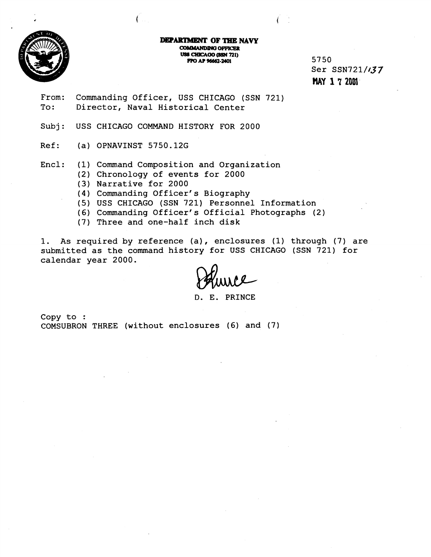

DEPARTMENT OF THE NAVY **COMMANDING OFFICER USS CHICAGO (SSN 721) FPO AP 96662-2401** 

5750 Ser SSN721/037 **HAY 1 7 20N.** 

From: Commanding Officer, USS CHICAGO (SSN 721) To: Director, Naval Historical Center

Subj: USS CHICAGO COMMAND HISTORY FOR 2000

Ref: (a) OPNAVINST 5750.12G

Encl: (1) Command Composition and Organization

- (2) Chronology of events for 2000
- (3) Narrative for 2000
- (4) Commanding Officer's Biography
- (5) USS CHICAGO (SSN 721) Personnel Information
- (6) Commanding Officer's Official Photographs (2)
- (7) Three and one-half inch disk

1. As required by reference (a), enclosures (1) through (7) are submitted as the command history for USS CHICAGO (SSN 721) for calendar year 2000.

D. E. PRINCE

Copy to : COMSUBRON THREE (without enclosures (6) and (7)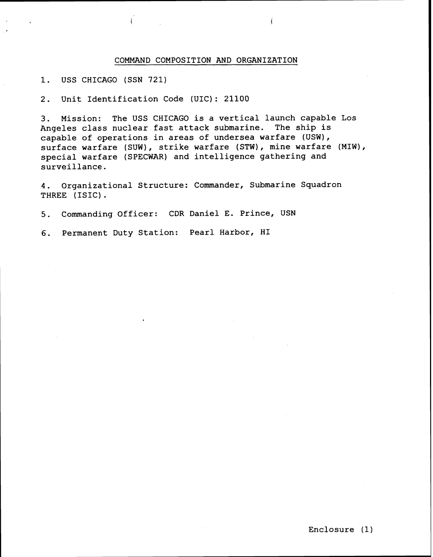## COMMAND COMPOSITION AND ORGANIZATION

1. USS CHICAGO (SSN 721)

2. Unit Identification Code (UIC): 21100

 $\frac{1}{2}$ 

3. Mission: The USS CHICAGO is a vertical launch capable Los Angeles class nuclear fast attack submarine. The ship is capable of operations in areas of undersea warfare (USW), surface warfare (SUW), strike warfare (STW), mine warfare (MIW), special warfare (SPECWAR) and intelligence gathering and surveillance.

4. Organizational Structure: Commander, Submarine Squadron THREE (ISIC) .

5. Commanding Officer: CDR Daniel E. Prince, USN

6. Permanent Duty Station: Pearl Harbor, HI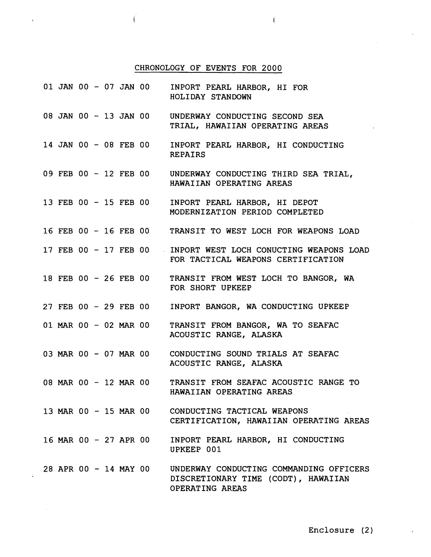## CHRONOLOGY OF EVENTS FOR 2000

 $\mathfrak{f}$ 

 $\sim$ 

Í

|                       | 01 JAN 00 - 07 JAN 00 INPORT PEARL HARBOR, HI FOR<br>HOLIDAY STANDOWN                               |
|-----------------------|-----------------------------------------------------------------------------------------------------|
| 08 JAN 00 - 13 JAN 00 | UNDERWAY CONDUCTING SECOND SEA<br>TRIAL, HAWAIIAN OPERATING AREAS                                   |
| 14 JAN 00 - 08 FEB 00 | INPORT PEARL HARBOR, HI CONDUCTING<br><b>REPAIRS</b>                                                |
|                       | 09 FEB 00 - 12 FEB 00 UNDERWAY CONDUCTING THIRD SEA TRIAL,<br>HAWAIIAN OPERATING AREAS              |
| 13 FEB 00 - 15 FEB 00 | INPORT PEARL HARBOR, HI DEPOT<br>MODERNIZATION PERIOD COMPLETED                                     |
|                       | 16 FEB 00 - 16 FEB 00 TRANSIT TO WEST LOCH FOR WEAPONS LOAD                                         |
|                       | 17 FEB 00 - 17 FEB 00 INPORT WEST LOCH CONUCTING WEAPONS LOAD<br>FOR TACTICAL WEAPONS CERTIFICATION |
| 18 FEB 00 - 26 FEB 00 | TRANSIT FROM WEST LOCH TO BANGOR, WA<br>FOR SHORT UPKEEP                                            |
| 27 FEB 00 - 29 FEB 00 | INPORT BANGOR, WA CONDUCTING UPKEEP                                                                 |
| 01 MAR 00 - 02 MAR 00 | TRANSIT FROM BANGOR, WA TO SEAFAC<br>ACOUSTIC RANGE, ALASKA                                         |
| 03 MAR 00 - 07 MAR 00 | CONDUCTING SOUND TRIALS AT SEAFAC<br>ACOUSTIC RANGE, ALASKA                                         |
| 08 MAR 00 - 12 MAR 00 | TRANSIT FROM SEAFAC ACOUSTIC RANGE TO<br>HAWAIIAN OPERATING AREAS                                   |
| 13 MAR 00 - 15 MAR 00 | CONDUCTING TACTICAL WEAPONS<br>CERTIFICATION, HAWAIIAN OPERATING AREAS                              |
| 16 MAR 00 - 27 APR 00 | INPORT PEARL HARBOR, HI CONDUCTING<br>UPKEEP 001                                                    |
| 28 APR 00 - 14 MAY 00 | UNDERWAY CONDUCTING COMMANDING OFFICERS<br>DISCRETIONARY TIME (CODT), HAWAIIAN<br>OPERATING AREAS   |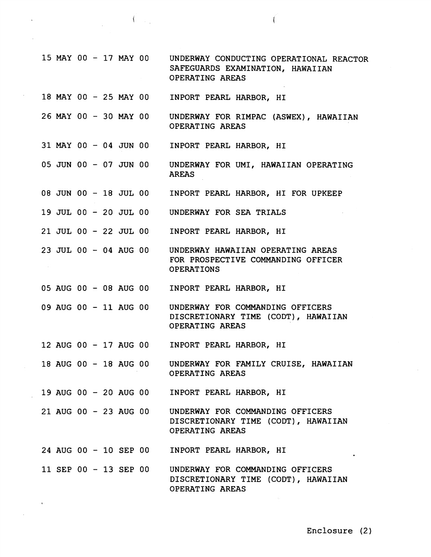15 MAY 00 - 17 MAY 00 18 MAY 00 - 25 MAY 00 26 MAY 00 - 30 MAY 00 31 MAY 00 - 04 JUN 00 05 JUN 00 - 07 JUN 00 08 JUN 00 - 18 JUL 00 19 JUL 00 - 20 JUL 00 21 JUL 00 - 22 JUL 00 23 JUL 00 - 04 AUG 00 05 AUG 00 - 08 AUG 00 09 AUG 00 - 11 AUG 00 12 AUG 00 - 17 AUG 00 18 AUG 00 - 18 AUG 00 19 AUG 00 - 20 AUG 00 21AUG 00 - 23 AUG 00 24 AUG 00 - 10 SEP 00 11 SEP 00 - 13 SEP 00 UNDERWAY CONDUCTING OPERATIONAL REACTOR SAFEGUARDS EXAMINATION, HAWAIIAN OPERATING AREAS INPORT PEARL HARBOR, HI UNDERWAY FOR RIMPAC (ASWEX), HAWAIIAN OPERATING AREAS INPORT PEARL HARBOR, HI UNDERWAY FOR UMI, HAWAIIAN OPERATING AREAS INPORT PEARL HARBOR, HI FOR UPKEEP UNDERWAY FOR SEA TRIALS INPORT PEARL HARBOR, HI UNDERWAY HAWAIIAN OPERATING AREAS FOR PROSPECTIVE COMMANDING OFFICER OPERATIONS INPORT PEARL HARBOR, HI UNDERWAY FOR COMMANDING OFFICERS DISCRETIONARY TIME (CODT), HAWAIIAN OPERATING AREAS INPORT PEARL HARBOR, HI UNDERWAY FOR FAMILY CRUISE, HAWAIIAN OPERATING AREAS INPORT PEARL HARBOR, HI UNDERWAY FOR COMMANDING OFFICERS DISCRETIONARY TIME (CODT) , HAWAIIAN OPERATING AREAS INPORT PEARL HARBOR, HI UNDERWAY FOR COMMANDING OFFICERS DISCRETIONARY TIME (CODT), HAWAIIAN OPERATING AREAS

Í.

 $\left(\begin{array}{ccc} 1 & 1 \\ 1 & 1 \end{array}\right)$ 

Enclosure (2)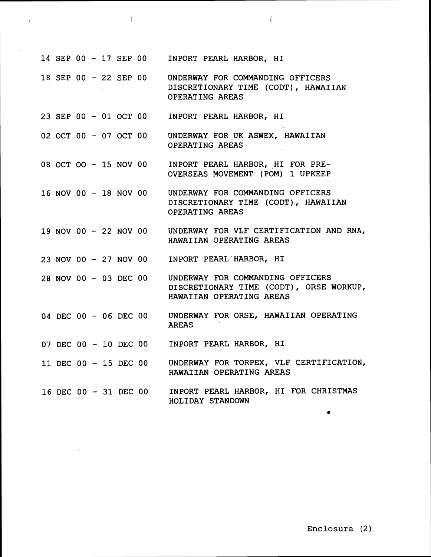|  |  |  |                       | 14 SEP 00 - 17 SEP 00 INPORT PEARL HARBOR, HI                                                           |
|--|--|--|-----------------------|---------------------------------------------------------------------------------------------------------|
|  |  |  | 18 SEP 00 - 22 SEP 00 | UNDERWAY FOR COMMANDING OFFICERS<br>DISCRETIONARY TIME (CODT), HAWAIIAN<br>OPERATING AREAS              |
|  |  |  | 23 SEP 00 - 01 OCT 00 | INPORT PEARL HARBOR, HI                                                                                 |
|  |  |  | 02 OCT 00 - 07 OCT 00 | UNDERWAY FOR UK ASWEX, HAWAIIAN<br>OPERATING AREAS                                                      |
|  |  |  | 08 OCT OO - 15 NOV 00 | INPORT PEARL HARBOR, HI FOR PRE-<br>OVERSEAS MOVEMENT (POM) 1 UPKEEP                                    |
|  |  |  | 16 NOV 00 - 18 NOV 00 | UNDERWAY FOR COMMANDING OFFICERS<br>DISCRETIONARY TIME (CODT), HAWAIIAN<br>OPERATING AREAS              |
|  |  |  | 19 NOV 00 - 22 NOV 00 | UNDERWAY FOR VLF CERTIFICATION AND RNA,<br>HAWAIIAN OPERATING AREAS                                     |
|  |  |  |                       | 23 NOV 00 - 27 NOV 00 INPORT PEARL HARBOR, HI                                                           |
|  |  |  | 28 NOV 00 - 03 DEC 00 | UNDERWAY FOR COMMANDING OFFICERS<br>DISCRETIONARY TIME (CODT), ORSE WORKUP,<br>HAWAIIAN OPERATING AREAS |
|  |  |  |                       | 04 DEC 00 - 06 DEC 00 UNDERWAY FOR ORSE, HAWAIIAN OPERATING<br><b>AREAS</b>                             |
|  |  |  |                       | 07 DEC 00 - 10 DEC 00 INPORT PEARL HARBOR, HI                                                           |
|  |  |  | 11 DEC 00 - 15 DEC 00 | UNDERWAY FOR TORPEX, VLF CERTIFICATION,<br>HAWAIIAN OPERATING AREAS                                     |
|  |  |  |                       | 16 DEC 00 - 31 DEC 00 INPORT PEARL HARBOR, HI FOR CHRISTMAS<br>HOLIDAY STANDOWN                         |

Í

 $\frac{1}{\sqrt{2}}$